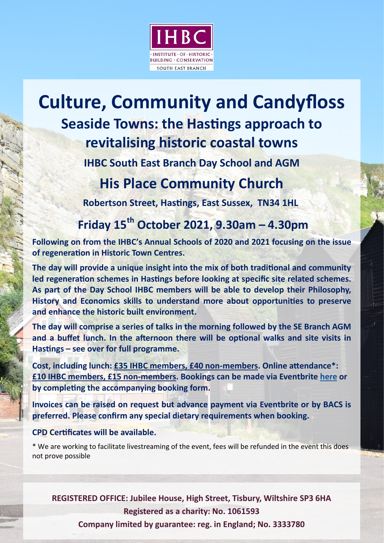

# **Culture, Community and Candyfoss Seaside Towns: the Hastings approach to revitalising historic coastal towns**

**IHBC South East Branch Day School and AGM**

### **His Place Community Church**

**Robertson Street, Hastings, East Sussex, TN34 1HL** 

## **Friday 15th October 2021, 9.30am – 4.30pm**

**Following on from the IHBC's Annual Schools of 2020 and 2021 focusing on the issue of regeneraton in Historic Town Centres.** 

**The day will provide a unique insight into the mix of both traditonal and community**  led regeneration schemes in Hastings before looking at specific site related schemes. **As part of the Day School IHBC members will be able to develop their Philosophy, History and Economics skills to understand more about opportunites to preserve and enhance the historic built environment.**

**The day will comprise a series of talks in the morning followed by the SE Branch AGM and a bufet lunch. In the afernoon there will be optonal walks and site visits in Hastngs – see over for full programme.** 

**Cost, including lunch: £35 IHBC members, £40 non-members. Online atendance\*: £10 IHBC members, £15 non-members. Bookings can be made via Eventbrite here or**  by completing the accompanying booking form.

**Invoices can be raised on request but advance payment via Eventbrite or by BACS is preferred. Please confrm any special dietary requirements when booking.** 

### **CPD Certfcates will be available.**

\* We are working to facilitate livestreaming of the event, fees will be refunded in the event this does not prove possible

**REGISTERED OFFICE: Jubilee House, High Street, Tisbury, Wiltshire SP3 6HA Registered as a charity: No. 1061593**

**Company limited by guarantee: reg. in England; No. 3333780**